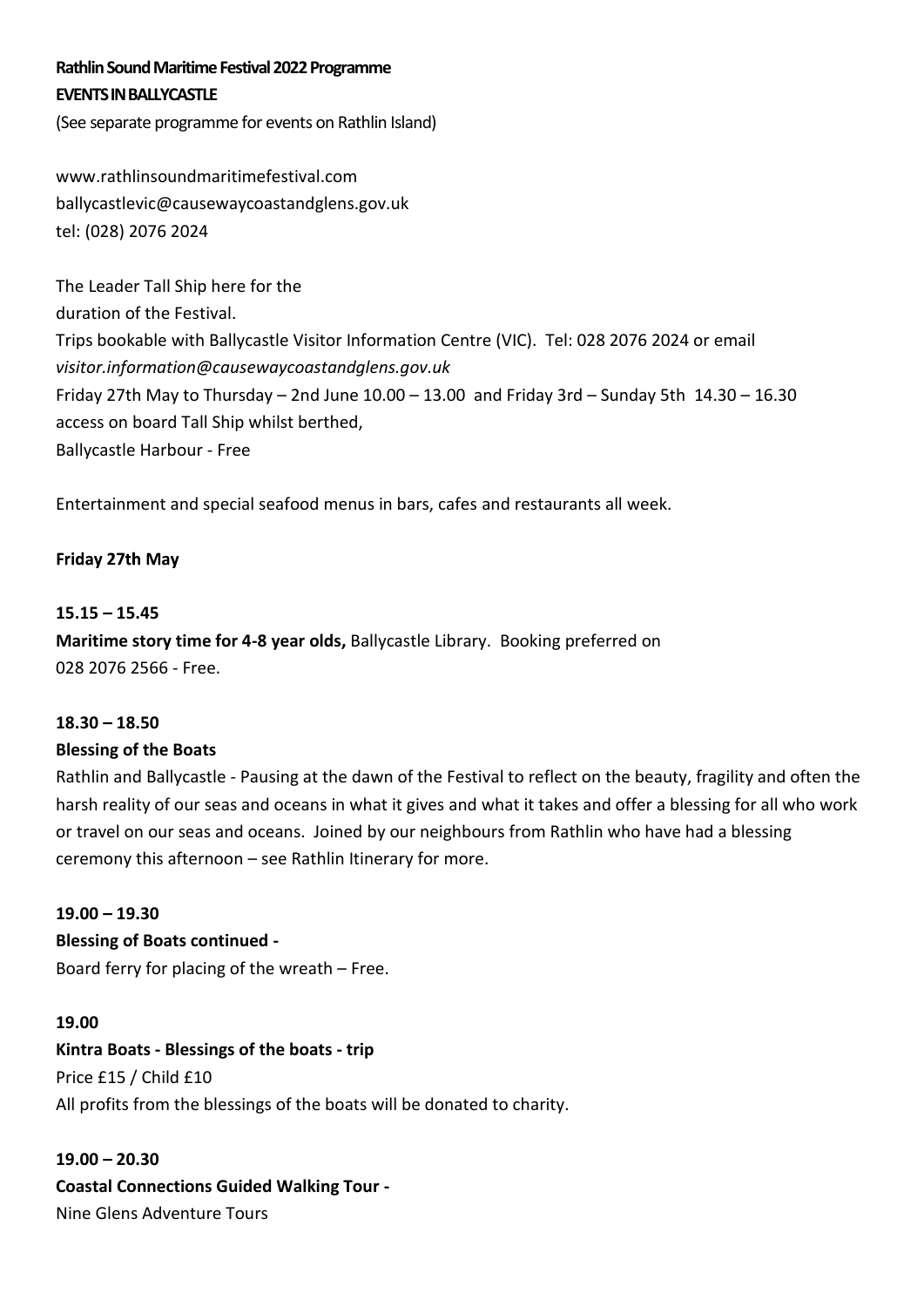# **Rathlin Sound Maritime Festival 2022 Programme EVENTS IN BALLYCASTLE**

(See separate programme for events on Rathlin Island)

www.rathlinsoundmaritimefestival.com ballycastlevic@causewaycoastandglens.gov.uk tel: (028) 2076 2024

The Leader Tall Ship here for the duration of the Festival. Trips bookable with Ballycastle Visitor Information Centre (VIC). Tel: 028 2076 2024 or email *visitor.information@causewaycoastandglens.gov.uk*  Friday 27th May to Thursday – 2nd June  $10.00 - 13.00$  and Friday 3rd – Sunday 5th  $14.30 - 16.30$ access on board Tall Ship whilst berthed, Ballycastle Harbour - Free

Entertainment and special seafood menus in bars, cafes and restaurants all week.

## Friday 27th May

#### **15.15 – 15.45**

**Maritime story time for 4-8 year olds,** Ballycastle Library. Booking preferred on 028 2076 2566 - Free.

#### **18.30 – 18.50**

#### **Blessing of the Boats**

Rathlin and Ballycastle - Pausing at the dawn of the Festival to reflect on the beauty, fragility and often the harsh reality of our seas and oceans in what it gives and what it takes and offer a blessing for all who work or travel on our seas and oceans. Joined by our neighbours from Rathlin who have had a blessing ceremony this afternoon – see Rathlin Itinerary for more.

#### **19.00 – 19.30**

**Blessing of Boats continued -** Board ferry for placing of the wreath – Free.

#### **19.00**

**Kintra Boats - Blessings of the boats - trip**  Price £15 / Child £10 All profits from the blessings of the boats will be donated to charity.

**19.00 – 20.30 Coastal Connections Guided Walking Tour -** Nine Glens Adventure Tours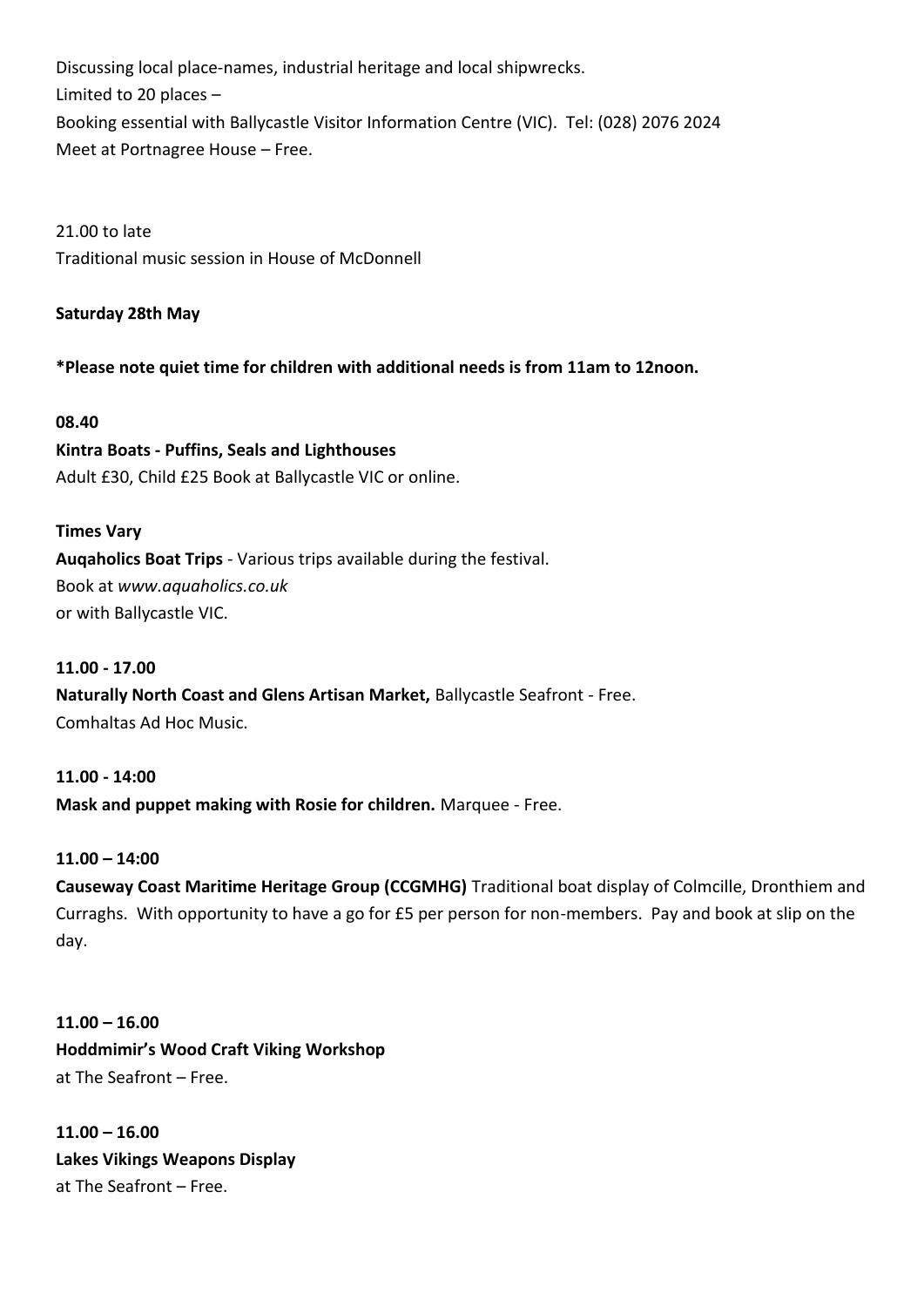Discussing local place-names, industrial heritage and local shipwrecks. Limited to 20 places – Booking essential with Ballycastle Visitor Information Centre (VIC). Tel: (028) 2076 2024 Meet at Portnagree House – Free.

21.00 to late Traditional music session in House of McDonnell

## **Saturday 28th May**

**\*Please note quiet time for children with additional needs is from 11am to 12noon.**

#### **08.40**

**Kintra Boats - Puffins, Seals and Lighthouses**  Adult £30, Child £25 Book at Ballycastle VIC or online.

#### **Times Vary**

**Auqaholics Boat Trips** - Various trips available during the festival. Book at *www.aquaholics.co.uk* or with Ballycastle VIC.

### **11.00 - 17.00**

**Naturally North Coast and Glens Artisan Market,** Ballycastle Seafront - Free. Comhaltas Ad Hoc Music.

**11.00 - 14:00 Mask and puppet making with Rosie for children.** Marquee - Free.

#### **11.00 – 14:00**

**Causeway Coast Maritime Heritage Group (CCGMHG)** Traditional boat display of Colmcille, Dronthiem and Curraghs. With opportunity to have a go for £5 per person for non-members. Pay and book at slip on the day.

**11.00 – 16.00 Hoddmimir's Wood Craft Viking Workshop**  at The Seafront – Free.

**11.00 – 16.00 Lakes Vikings Weapons Display** at The Seafront – Free.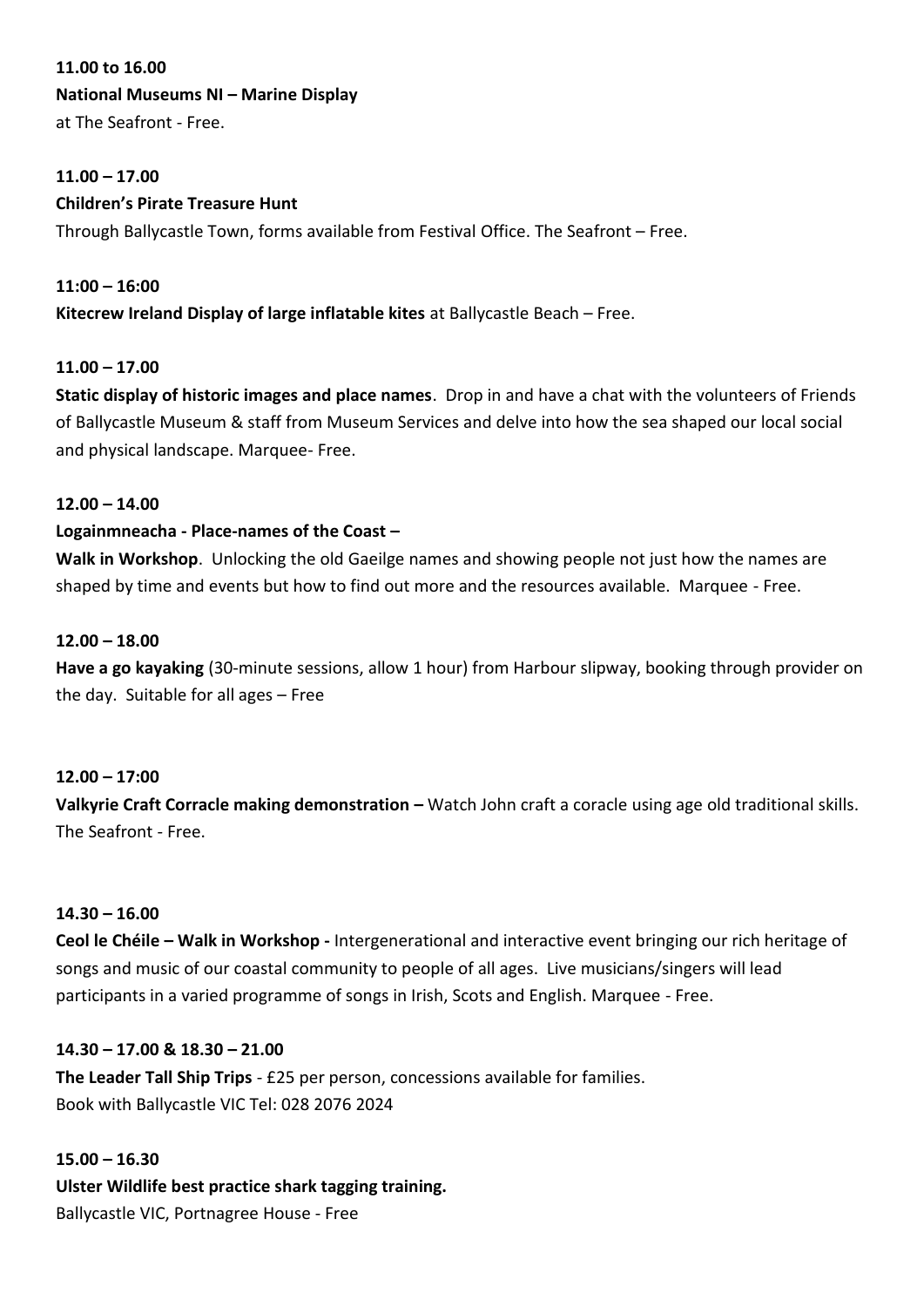#### **11.00 to 16.00**

## **National Museums NI – Marine Display**

at The Seafront - Free.

### **11.00 – 17.00**

## **Children's Pirate Treasure Hunt**

Through Ballycastle Town, forms available from Festival Office. The Seafront – Free.

# **11:00 – 16:00 Kitecrew Ireland Display of large inflatable kites** at Ballycastle Beach – Free.

## **11.00 – 17.00**

**Static display of historic images and place names**. Drop in and have a chat with the volunteers of Friends of Ballycastle Museum & staff from Museum Services and delve into how the sea shaped our local social and physical landscape. Marquee- Free.

#### **12.00 – 14.00**

## **Logainmneacha - Place-names of the Coast –**

**Walk in Workshop**. Unlocking the old Gaeilge names and showing people not just how the names are shaped by time and events but how to find out more and the resources available. Marquee - Free.

#### **12.00 – 18.00**

**Have a go kayaking** (30-minute sessions, allow 1 hour) from Harbour slipway, booking through provider on the day. Suitable for all ages – Free

#### **12.00 – 17:00**

**Valkyrie Craft Corracle making demonstration – Watch John craft a coracle using age old traditional skills.** The Seafront - Free.

#### **14.30 – 16.00**

**Ceol le Chéile – Walk in Workshop -** Intergenerational and interactive event bringing our rich heritage of songs and music of our coastal community to people of all ages. Live musicians/singers will lead participants in a varied programme of songs in Irish, Scots and English. Marquee - Free.

#### **14.30 – 17.00 & 18.30 – 21.00**

**The Leader Tall Ship Trips** - £25 per person, concessions available for families. Book with Ballycastle VIC Tel: 028 2076 2024

#### **15.00 – 16.30**

**Ulster Wildlife best practice shark tagging training.** Ballycastle VIC, Portnagree House - Free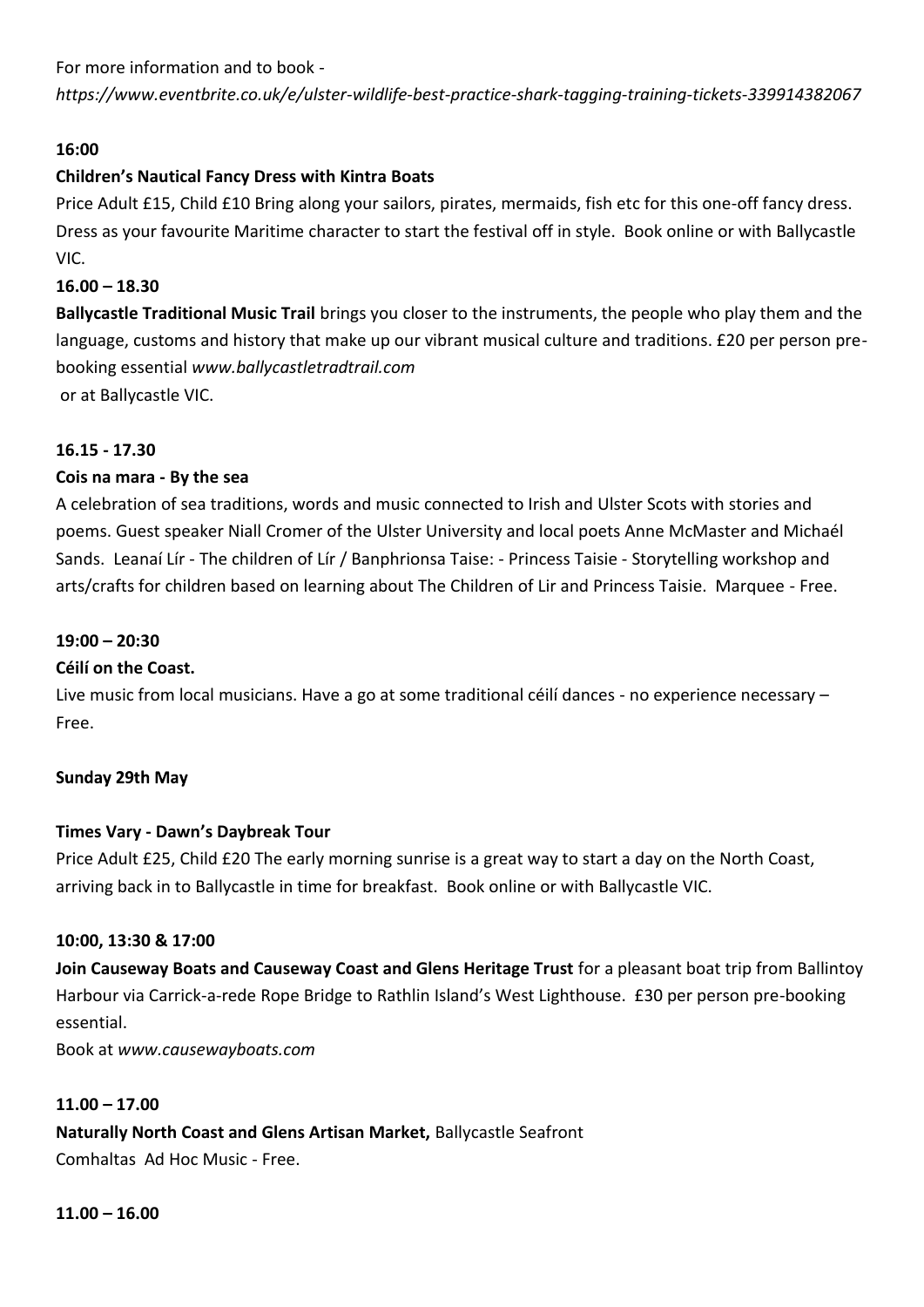For more information and to book -

*https://www.eventbrite.co.uk/e/ulster-wildlife-best-practice-shark-tagging-training-tickets-339914382067*

## **16:00**

## **Children's Nautical Fancy Dress with Kintra Boats**

Price Adult £15, Child £10 Bring along your sailors, pirates, mermaids, fish etc for this one-off fancy dress. Dress as your favourite Maritime character to start the festival off in style. Book online or with Ballycastle VIC.

## **16.00 – 18.30**

**Ballycastle Traditional Music Trail** brings you closer to the instruments, the people who play them and the language, customs and history that make up our vibrant musical culture and traditions. £20 per person prebooking essential *www.ballycastletradtrail.com* or at Ballycastle VIC.

**16.15 - 17.30** 

## **Cois na mara - By the sea**

A celebration of sea traditions, words and music connected to Irish and Ulster Scots with stories and poems. Guest speaker Niall Cromer of the Ulster University and local poets Anne McMaster and Michaél Sands. Leanaí Lír - The children of Lír / Banphrionsa Taise: - Princess Taisie - Storytelling workshop and arts/crafts for children based on learning about The Children of Lir and Princess Taisie. Marquee - Free.

## **19:00 – 20:30**

#### **Céilí on the Coast.**

Live music from local musicians. Have a go at some traditional céilí dances - no experience necessary – Free.

#### Sunday 29th May

#### **Times Vary - Dawn's Daybreak Tour**

Price Adult £25, Child £20 The early morning sunrise is a great way to start a day on the North Coast, arriving back in to Ballycastle in time for breakfast. Book online or with Ballycastle VIC.

#### **10:00, 13:30 & 17:00**

**Join Causeway Boats and Causeway Coast and Glens Heritage Trust** for a pleasant boat trip from Ballintoy Harbour via Carrick-a-rede Rope Bridge to Rathlin Island's West Lighthouse. £30 per person pre-booking essential.

Book at *www.causewayboats.com*

#### **11.00 – 17.00**

**Naturally North Coast and Glens Artisan Market,** Ballycastle Seafront Comhaltas Ad Hoc Music - Free.

**11.00 – 16.00**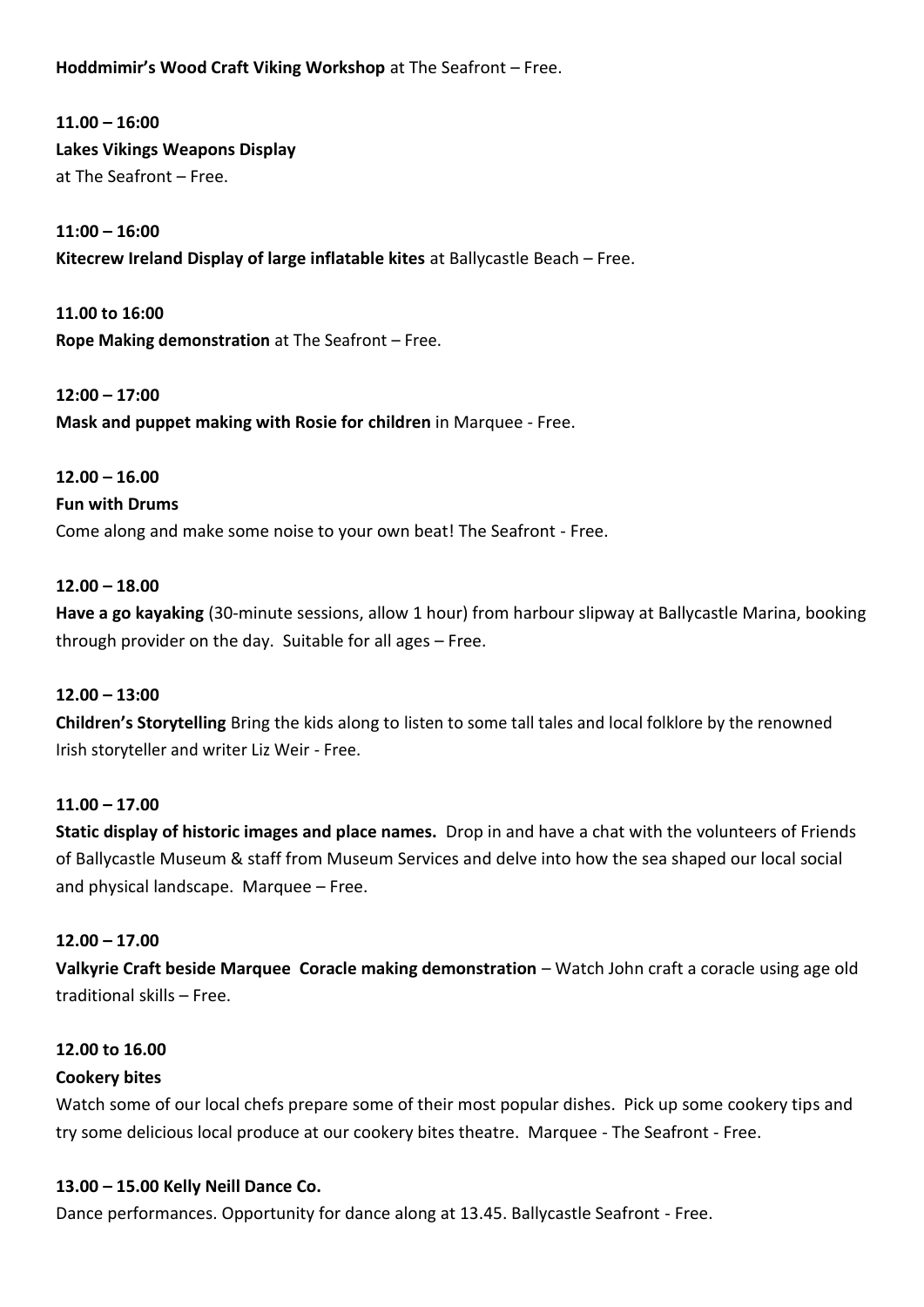**Hoddmimir's Wood Craft Viking Workshop** at The Seafront – Free.

**11.00 – 16:00 Lakes Vikings Weapons Display** at The Seafront – Free.

**11:00 – 16:00 Kitecrew Ireland Display of large inflatable kites** at Ballycastle Beach – Free.

**11.00 to 16:00 Rope Making demonstration** at The Seafront – Free.

**12:00 – 17:00 Mask and puppet making with Rosie for children** in Marquee - Free.

## **12.00 – 16.00**

#### **Fun with Drums**

Come along and make some noise to your own beat! The Seafront - Free.

#### **12.00 – 18.00**

**Have a go kayaking** (30-minute sessions, allow 1 hour) from harbour slipway at Ballycastle Marina, booking through provider on the day. Suitable for all ages – Free.

#### **12.00 – 13:00**

**Children's Storytelling** Bring the kids along to listen to some tall tales and local folklore by the renowned Irish storyteller and writer Liz Weir - Free.

#### **11.00 – 17.00**

**Static display of historic images and place names.** Drop in and have a chat with the volunteers of Friends of Ballycastle Museum & staff from Museum Services and delve into how the sea shaped our local social and physical landscape. Marquee – Free.

#### **12.00 – 17.00**

**Valkyrie Craft beside Marquee Coracle making demonstration** – Watch John craft a coracle using age old traditional skills – Free.

#### **12.00 to 16.00**

#### **Cookery bites**

Watch some of our local chefs prepare some of their most popular dishes. Pick up some cookery tips and try some delicious local produce at our cookery bites theatre. Marquee - The Seafront - Free.

#### **13.00 – 15.00 Kelly Neill Dance Co.**

Dance performances. Opportunity for dance along at 13.45. Ballycastle Seafront - Free.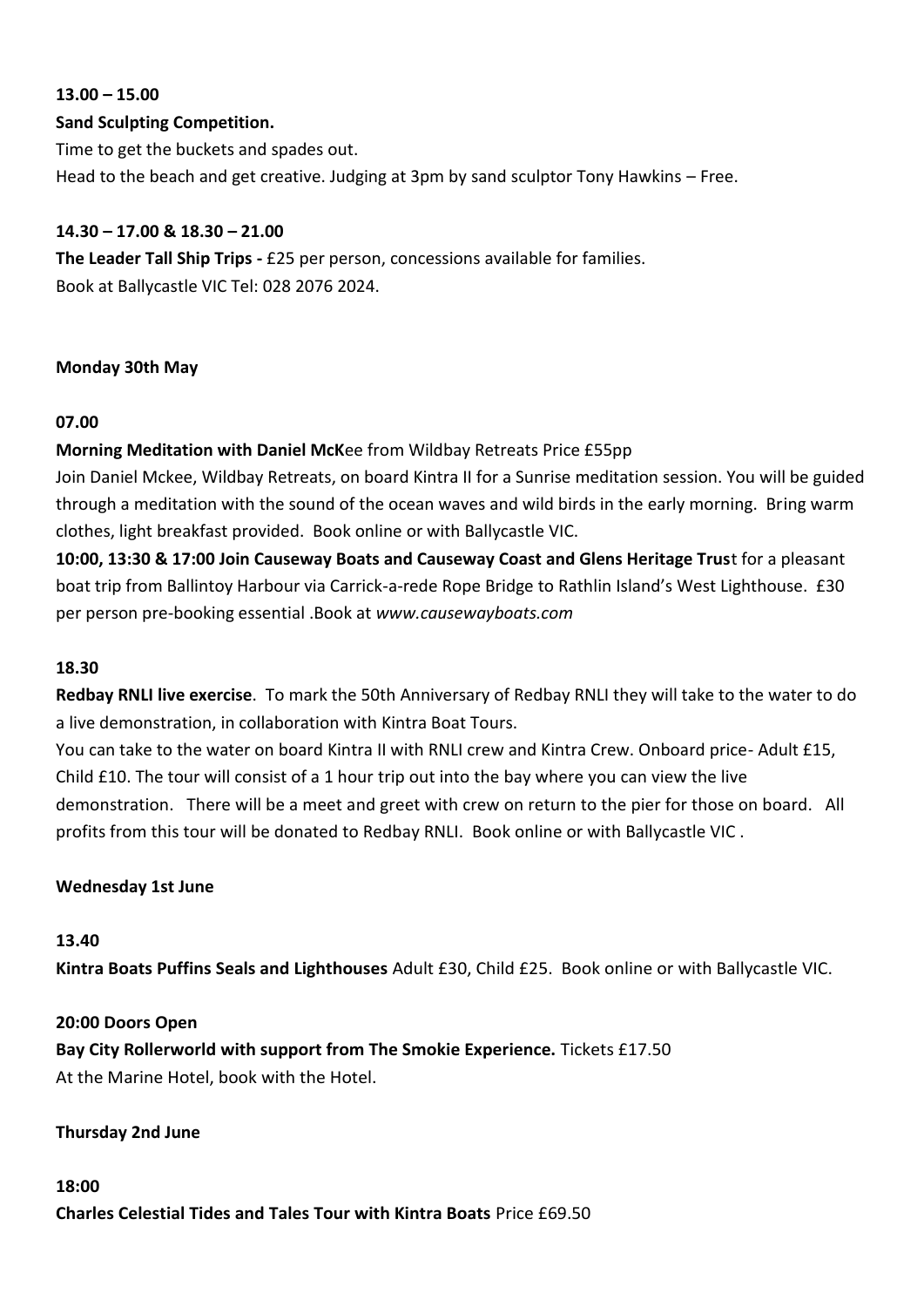# **13.00 – 15.00**

### **Sand Sculpting Competition.**

Time to get the buckets and spades out. Head to the beach and get creative. Judging at 3pm by sand sculptor Tony Hawkins – Free.

## **14.30 – 17.00 & 18.30 – 21.00**

**The Leader Tall Ship Trips -** £25 per person, concessions available for families. Book at Ballycastle VIC Tel: 028 2076 2024.

## **Monday 30th May**

## **07.00**

## **Morning Meditation with Daniel McK**ee from Wildbay Retreats Price £55pp

Join Daniel Mckee, Wildbay Retreats, on board Kintra II for a Sunrise meditation session. You will be guided through a meditation with the sound of the ocean waves and wild birds in the early morning. Bring warm clothes, light breakfast provided. Book online or with Ballycastle VIC.

**10:00, 13:30 & 17:00 Join Causeway Boats and Causeway Coast and Glens Heritage Trus**t for a pleasant boat trip from Ballintoy Harbour via Carrick-a-rede Rope Bridge to Rathlin Island's West Lighthouse. £30 per person pre-booking essential .Book at *www.causewayboats.com*

#### **18.30**

**Redbay RNLI live exercise**. To mark the 50th Anniversary of Redbay RNLI they will take to the water to do a live demonstration, in collaboration with Kintra Boat Tours.

You can take to the water on board Kintra II with RNLI crew and Kintra Crew. Onboard price- Adult £15, Child £10. The tour will consist of a 1 hour trip out into the bay where you can view the live demonstration. There will be a meet and greet with crew on return to the pier for those on board. All profits from this tour will be donated to Redbay RNLI. Book online or with Ballycastle VIC .

#### **Wednesday 1st June**

#### **13.40**

**Kintra Boats Puffins Seals and Lighthouses** Adult £30, Child £25. Book online or with Ballycastle VIC.

#### **20:00 Doors Open**

**Bay City Rollerworld with support from The Smokie Experience.** Tickets £17.50 At the Marine Hotel, book with the Hotel.

#### **Thursday 2nd June**

# **18:00 Charles Celestial Tides and Tales Tour with Kintra Boats** Price £69.50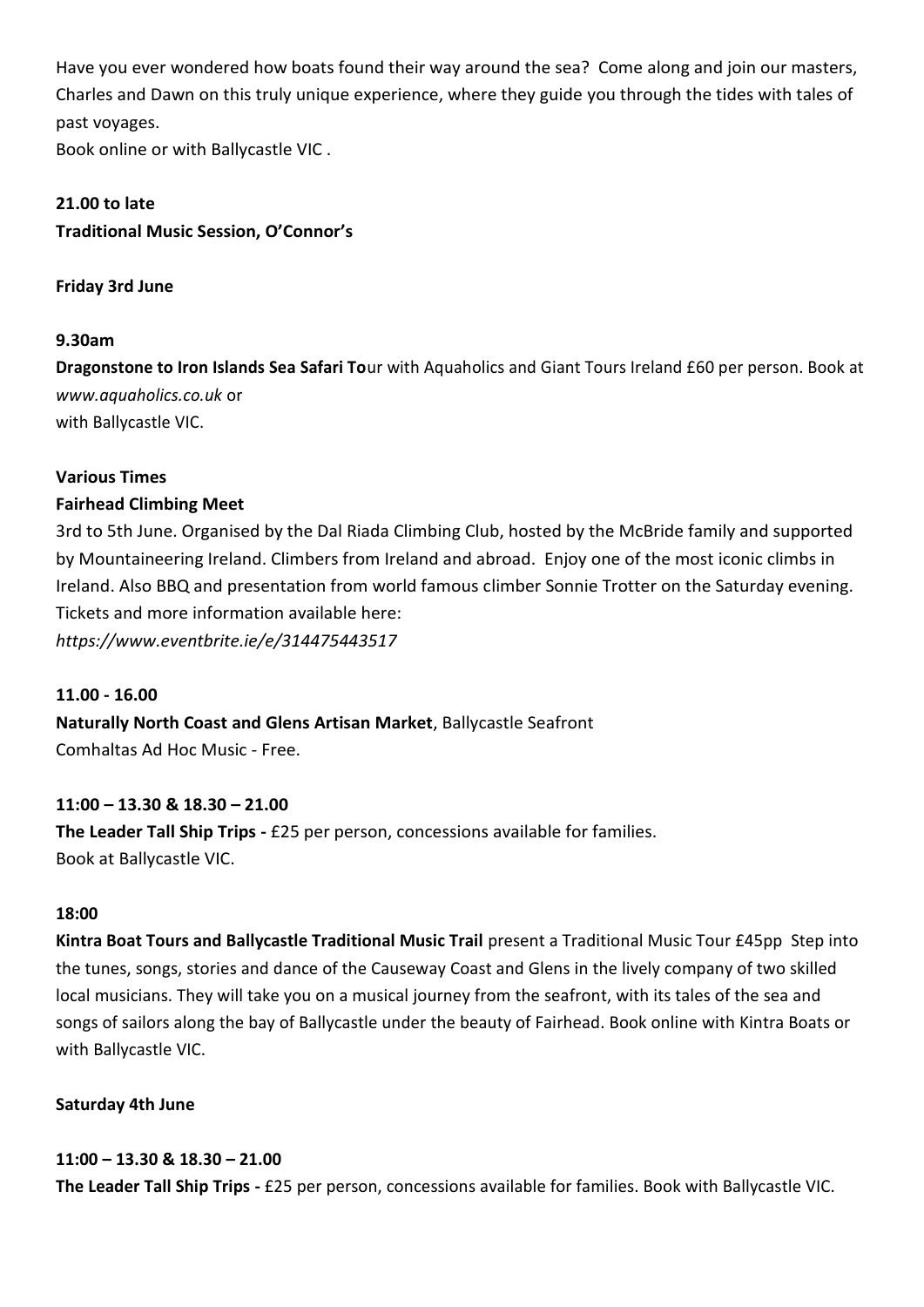Have you ever wondered how boats found their way around the sea? Come along and join our masters, Charles and Dawn on this truly unique experience, where they guide you through the tides with tales of past voyages.

Book online or with Ballycastle VIC .

## **21.00 to late**

**Traditional Music Session, O'Connor's** 

## **Friday 3rd June**

## **9.30am**

**Dragonstone to Iron Islands Sea Safari To**ur with Aquaholics and Giant Tours Ireland £60 per person. Book at *www.aquaholics.co.uk* or with Ballycastle VIC.

## **Various Times**

## **Fairhead Climbing Meet**

3rd to 5th June. Organised by the Dal Riada Climbing Club, hosted by the McBride family and supported by Mountaineering Ireland. Climbers from Ireland and abroad. Enjoy one of the most iconic climbs in Ireland. Also BBQ and presentation from world famous climber Sonnie Trotter on the Saturday evening. Tickets and more information available here:

*https://www.eventbrite.ie/e/314475443517*

## **11.00 - 16.00**

**Naturally North Coast and Glens Artisan Market**, Ballycastle Seafront Comhaltas Ad Hoc Music - Free.

## **11:00 – 13.30 & 18.30 – 21.00**

**The Leader Tall Ship Trips -** £25 per person, concessions available for families. Book at Ballycastle VIC.

#### **18:00**

**Kintra Boat Tours and Ballycastle Traditional Music Trail** present a Traditional Music Tour £45pp Step into the tunes, songs, stories and dance of the Causeway Coast and Glens in the lively company of two skilled local musicians. They will take you on a musical journey from the seafront, with its tales of the sea and songs of sailors along the bay of Ballycastle under the beauty of Fairhead. Book online with Kintra Boats or with Ballycastle VIC.

#### **Saturday 4th June**

#### **11:00 – 13.30 & 18.30 – 21.00**

**The Leader Tall Ship Trips -** £25 per person, concessions available for families. Book with Ballycastle VIC.